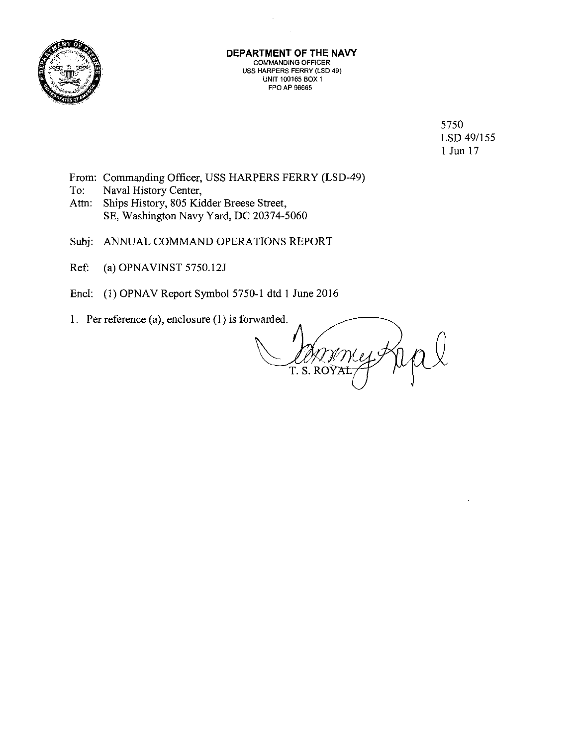

#### **DEPARTMENT OF THE NAVY**  COMMANDING OFFICER **USS HARPERS FERRY (LSD 49) UNIT 100165 BOX 1**  FPO AP 96665

5750 LSD 49/155 I Jun 17

- From: Commanding Officer, USS HARPERS FERRY (LSD-49)
- To: Naval History Center,
- Attn: Ships History, 805 Kidder Breese Street, SE, Washington Navy Yard, DC 20374-5060
- Subj: ANNUAL COMMAND OPERATIONS REPORT
- Ref: (a) OPNA VINST *5750.121*
- Encl: (1) OPNAV Report Symbol 5750-1 dtd 1 June 2016
- 1. Per reference (a), enclosure (1) is forwarded.

T. S. ROÝA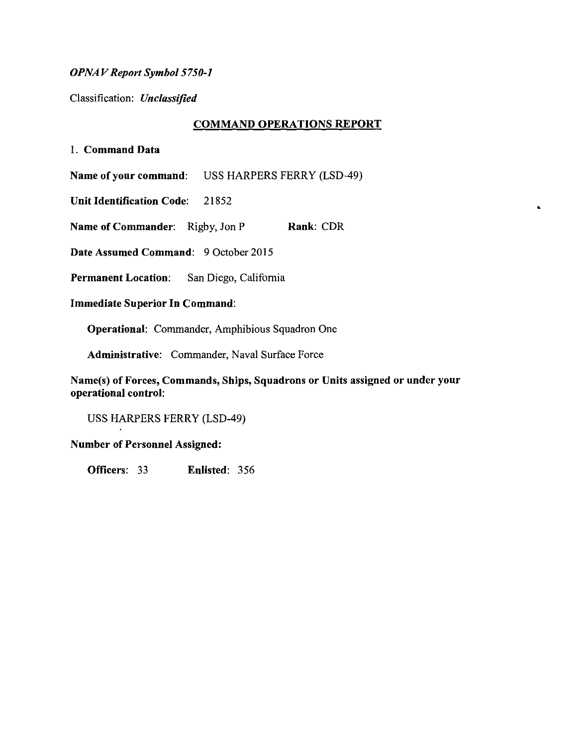#### *OPNAV Report Symbol 5750-1*

Classification: *Unclassified* 

#### **COMMAND OPERATIONS REPORT**

•

1. **Command Data** 

**Name of your command:** USS HARPERS FERRY (LSD-49)

**Unit Identification Code:** 21852

**Name of Commander:** Rigby, Jon P **Rank: CDR** 

**Date Assumed Command:** 9 October 2015

**Permanent Location:** San Diego, California

**Immediate Superior In Command:** 

**Operational:** Commander, Amphibious Squadron One

**Administrative:** Commander, Naval Surface Force

**Name(s) of Forces, Commands, Ships, Squadrons or Units assigned or under your operational control:** 

USS HARPERS FERRY (LSD-49)

**Number of Personnel Assigned:** 

**Officers:** 33 **Enlisted:** 356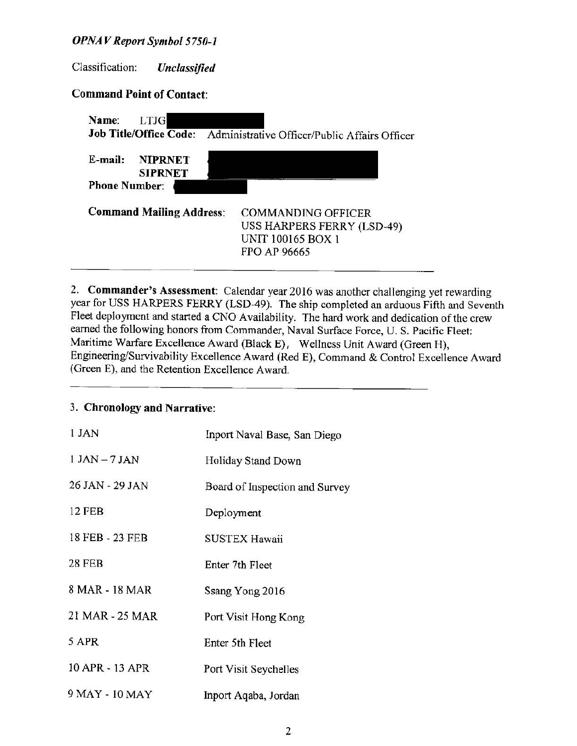#### *OPNAV Report Symbol 5750-1*

Classification: *Unclassified* 

### **Command Point of Contact:**

| Name:<br>LTJG<br><b>Job Title/Office Code:</b> | Administrative Officer/Public Affairs Officer |
|------------------------------------------------|-----------------------------------------------|
|                                                |                                               |
| E-mail:<br><b>NIPRNET</b><br><b>SIPRNET</b>    |                                               |
| <b>Phone Number:</b>                           |                                               |
| <b>Command Mailing Address:</b>                | <b>COMMANDING OFFICER</b>                     |
|                                                | USS HARPERS FERRY (LSD-49)                    |
|                                                | UNIT 100165 BOX 1                             |
|                                                | <b>FPO AP 96665</b>                           |
|                                                |                                               |

2. **Commander's Assessment:** Calendar year 2016 was another challenging yet rewarding year for USS HARPERS FERRY (LSD-49). The ship completed an arduous Fifth and Seventh Fleet deployment and started a CNO Availability. The hard work and dedication of the crew earned the following honors from Commander, Naval Surface Force, U. S. Pacific Fleet: Maritime Warfare Excellence Award (Black E), Wellness Unit Award (Green H), Engineering/Survivability Excellence Award (Red E), Command & Control Excellence Award (Green E), and the Retention Excellence Award.

## 3. **Chronology and Narrative:**

| 1 JAN            | Inport Naval Base, San Diego   |
|------------------|--------------------------------|
| $1$ JAN $-7$ JAN | Holiday Stand Down             |
| 26 JAN - 29 JAN  | Board of Inspection and Survey |
| <b>12 FEB</b>    | Deployment                     |
| 18 FEB - 23 FEB  | <b>SUSTEX Hawaii</b>           |
| <b>28 FEB</b>    | Enter 7th Fleet                |
| 8 MAR - 18 MAR   | Ssang Yong 2016                |
| 21 MAR - 25 MAR  | Port Visit Hong Kong           |
| 5 APR            | Enter 5th Fleet                |
| 10 APR - 13 APR  | Port Visit Seychelles          |
| 9 MAY - 10 MAY   | Inport Aqaba, Jordan           |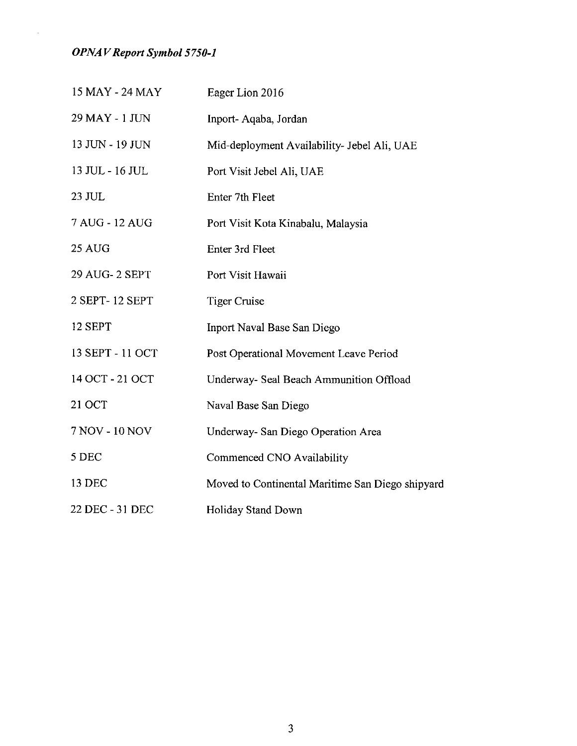*OPNAV Report Symbol 5750-1* 

 $\mathcal{L}^{\mathcal{A}}$ 

| 15 MAY - 24 MAY  | Eager Lion 2016                                  |
|------------------|--------------------------------------------------|
| 29 MAY - 1 JUN   | Inport-Aqaba, Jordan                             |
| 13 JUN - 19 JUN  | Mid-deployment Availability- Jebel Ali, UAE      |
| 13 JUL - 16 JUL  | Port Visit Jebel Ali, UAE                        |
| 23 JUL           | Enter 7th Fleet                                  |
| 7 AUG - 12 AUG   | Port Visit Kota Kinabalu, Malaysia               |
| 25 AUG           | Enter 3rd Fleet                                  |
| 29 AUG-2 SEPT    | Port Visit Hawaii                                |
| 2 SEPT-12 SEPT   | <b>Tiger Cruise</b>                              |
| 12 SEPT          | Inport Naval Base San Diego                      |
| 13 SEPT - 11 OCT | Post Operational Movement Leave Period           |
| 14 OCT - 21 OCT  | Underway- Seal Beach Ammunition Offload          |
| 21 OCT           | Naval Base San Diego                             |
| 7 NOV - 10 NOV   | Underway- San Diego Operation Area               |
| 5 DEC            | Commenced CNO Availability                       |
| 13 DEC           | Moved to Continental Maritime San Diego shipyard |
| 22 DEC - 31 DEC  | Holiday Stand Down                               |

3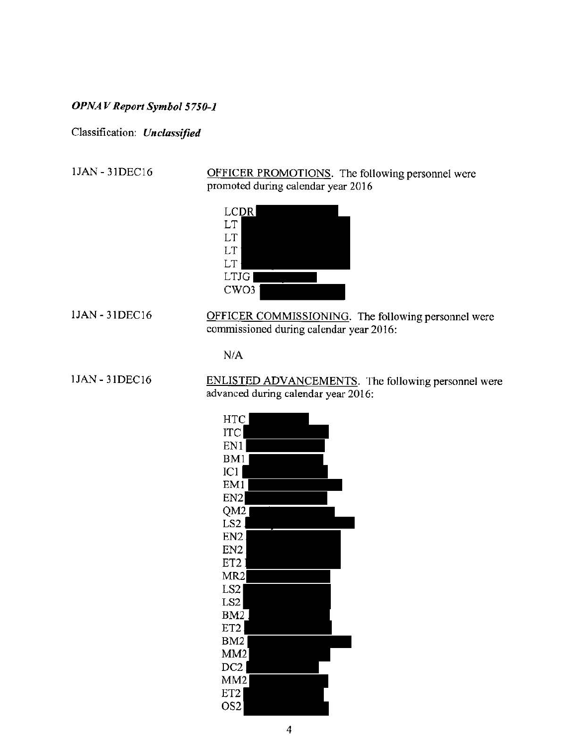# *OPNA V Report Symbol 5750-1*

Classification: *Unclassified* 

lJAN - 31DECI6

OFFICER PROMOTIONS. The following personnel were promoted during calendar year 2016



lJAN - 31DEC16

OFFICER COMMISSIONING. The following personnel were commissioned during calendar year 2016:

 $N/A$ 

lJAN - 31DEC16

ENLISTED ADVANCEMENTS. The following personnel were advanced during calendar year 2016: